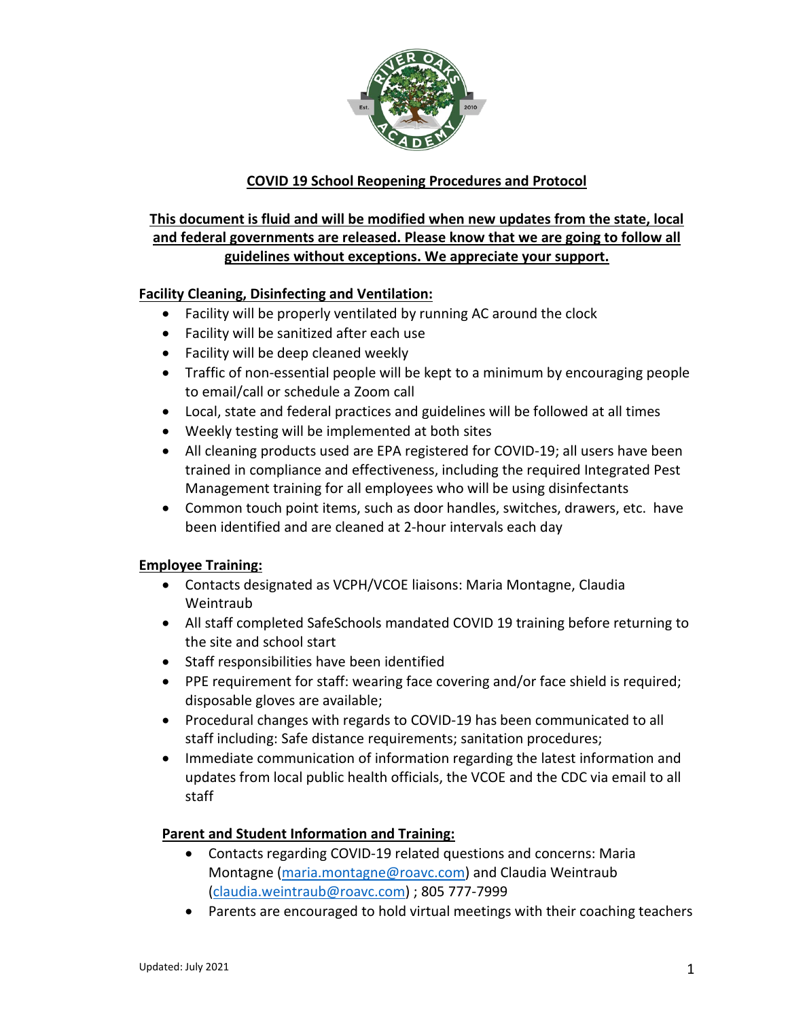

## **COVID 19 School Reopening Procedures and Protocol**

# **This document is fluid and will be modified when new updates from the state, local and federal governments are released. Please know that we are going to follow all guidelines without exceptions. We appreciate your support.**

## **Facility Cleaning, Disinfecting and Ventilation:**

- Facility will be properly ventilated by running AC around the clock
- Facility will be sanitized after each use
- Facility will be deep cleaned weekly
- Traffic of non-essential people will be kept to a minimum by encouraging people to email/call or schedule a Zoom call
- Local, state and federal practices and guidelines will be followed at all times
- Weekly testing will be implemented at both sites
- All cleaning products used are EPA registered for COVID-19; all users have been trained in compliance and effectiveness, including the required Integrated Pest Management training for all employees who will be using disinfectants
- Common touch point items, such as door handles, switches, drawers, etc. have been identified and are cleaned at 2-hour intervals each day

#### **Employee Training:**

- Contacts designated as VCPH/VCOE liaisons: Maria Montagne, Claudia Weintraub
- All staff completed SafeSchools mandated COVID 19 training before returning to the site and school start
- Staff responsibilities have been identified
- PPE requirement for staff: wearing face covering and/or face shield is required; disposable gloves are available;
- Procedural changes with regards to COVID-19 has been communicated to all staff including: Safe distance requirements; sanitation procedures;
- Immediate communication of information regarding the latest information and updates from local public health officials, the VCOE and the CDC via email to all staff

## **Parent and Student Information and Training:**

- Contacts regarding COVID-19 related questions and concerns: Maria Montagne [\(maria.montagne@roavc.com\)](mailto:maria.montagne@roavc.com) and Claudia Weintraub [\(claudia.weintraub@roavc.com\)](mailto:claudia.weintraub@roavc.com) ; 805 777-7999
- Parents are encouraged to hold virtual meetings with their coaching teachers